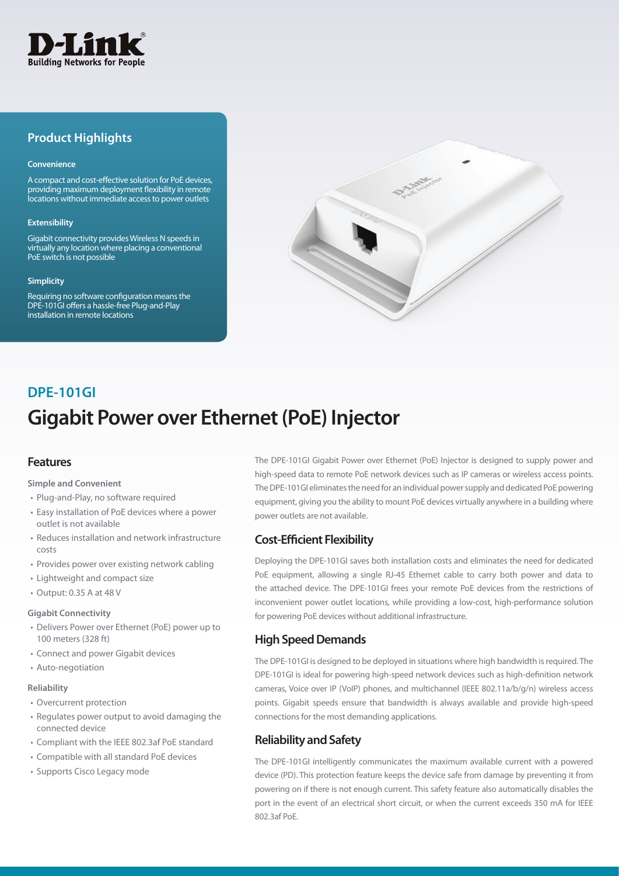

## **Product Highlights**

#### **Convenience**

A compact and cost-effective solution for PoE devices, providing maximum deployment flexibility in remote locations without immediate access to power outlets

#### **Extensibility**

Gigabit connectivity provides Wireless N speeds in virtually any location where placing a conventional PoE switch is not possible

#### **Simplicity**

Requiring no software configuration means the DPE-101GI offers a hassle-free Plug-and-Play installation in remote locations



# **Gigabit Power over Ethernet (PoE) Injector DPE-101GI**

## **Features**

#### **Simple and Convenient**

- Plug-and-Play, no software required
- • Easy installation of PoE devices where a power outlet is not available
- Reduces installation and network infrastructure costs
- Provides power over existing network cabling
- Lightweight and compact size
- • Output: 0.35 A at 48 V

#### **Gigabit Connectivity**

- • Delivers Power over Ethernet (PoE) power up to 100 meters (328 ft)
- • Connect and power Gigabit devices
- Auto-negotiation

#### **Reliability**

- • Overcurrent protection
- • Regulates power output to avoid damaging the connected device
- • Compliant with the IEEE 802.3af PoE standard
- • Compatible with all standard PoE devices
- Supports Cisco Legacy mode

The DPE-101GI Gigabit Power over Ethernet (PoE) Injector is designed to supply power and high-speed data to remote PoE network devices such as IP cameras or wireless access points. The DPE-101GI eliminates the need for an individual power supply and dedicated PoE powering equipment, giving you the ability to mount PoE devices virtually anywhere in a building where power outlets are not available.

## **Cost-Efficient Flexibility**

Deploying the DPE-101GI saves both installation costs and eliminates the need for dedicated PoE equipment, allowing a single RJ-45 Ethernet cable to carry both power and data to the attached device. The DPE-101GI frees your remote PoE devices from the restrictions of inconvenient power outlet locations, while providing a low-cost, high-performance solution for powering PoE devices without additional infrastructure.

## **High Speed Demands**

The DPE-101GI is designed to be deployed in situations where high bandwidth is required. The DPE-101GI is ideal for powering high-speed network devices such as high-definition network cameras, Voice over IP (VoIP) phones, and multichannel (IEEE 802.11a/b/g/n) wireless access points. Gigabit speeds ensure that bandwidth is always available and provide high-speed connections for the most demanding applications.

## **Reliability and Safety**

The DPE-101GI intelligently communicates the maximum available current with a powered device (PD). This protection feature keeps the device safe from damage by preventing it from powering on if there is not enough current. This safety feature also automatically disables the port in the event of an electrical short circuit, or when the current exceeds 350 mA for IEEE 802.3af PoE.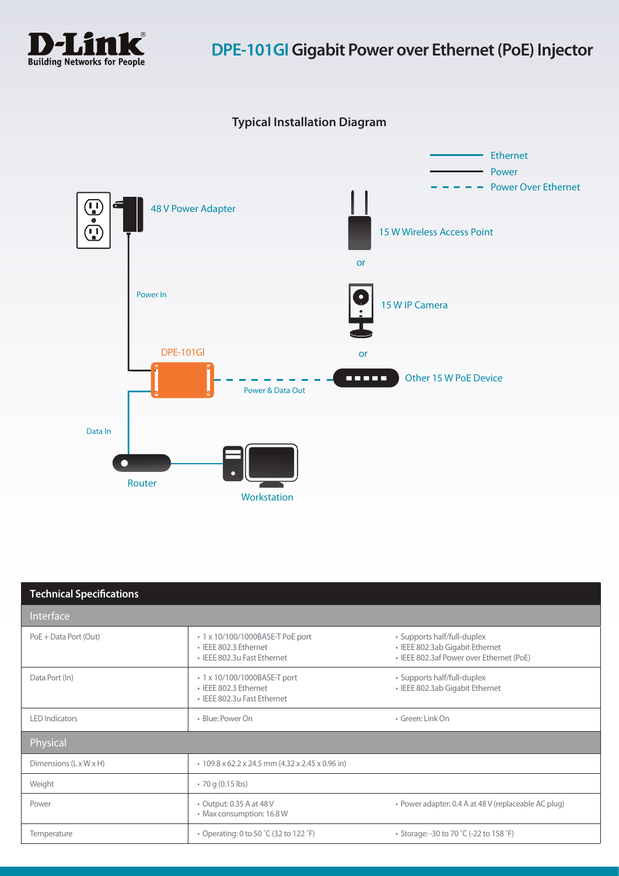

## **Typical Installation Diagram**



| <b>Technical Specifications</b>    |                                                                                          |                                                                                                            |  |
|------------------------------------|------------------------------------------------------------------------------------------|------------------------------------------------------------------------------------------------------------|--|
| Interface                          |                                                                                          |                                                                                                            |  |
| PoE + Data Port (Out)              | • 1 x 10/100/1000BASE-T PoE port<br>· IEEE 802.3 Ethernet<br>• IEEE 802.3u Fast Ethernet | • Supports half/full-duplex<br>· IEEE 802.3ab Gigabit Ethernet<br>• IEEE 802.3af Power over Ethernet (PoE) |  |
| Data Port (In)                     | • 1 x 10/100/1000BASE-T port<br>· IEEE 802.3 Ethernet<br>• IEEE 802.3u Fast Ethernet     | • Supports half/full-duplex<br>· IEEE 802.3ab Gigabit Ethernet                                             |  |
| <b>LED</b> Indicators              | · Blue: Power On                                                                         | · Green: Link On                                                                                           |  |
| Physical                           |                                                                                          |                                                                                                            |  |
| Dimensions $(L \times W \times H)$ | $\cdot$ 109.8 x 62.2 x 24.5 mm (4.32 x 2.45 x 0.96 in)                                   |                                                                                                            |  |
| Weight                             | $\cdot$ 70 g (0.15 lbs)                                                                  |                                                                                                            |  |
| Power                              | • Output: 0.35 A at 48 V<br>• Max consumption: 16.8 W                                    | • Power adapter: 0.4 A at 48 V (replaceable AC plug)                                                       |  |
| Temperature                        | • Operating: 0 to 50 °C (32 to 122 °F)                                                   | • Storage: -30 to 70 °C (-22 to 158 °F)                                                                    |  |